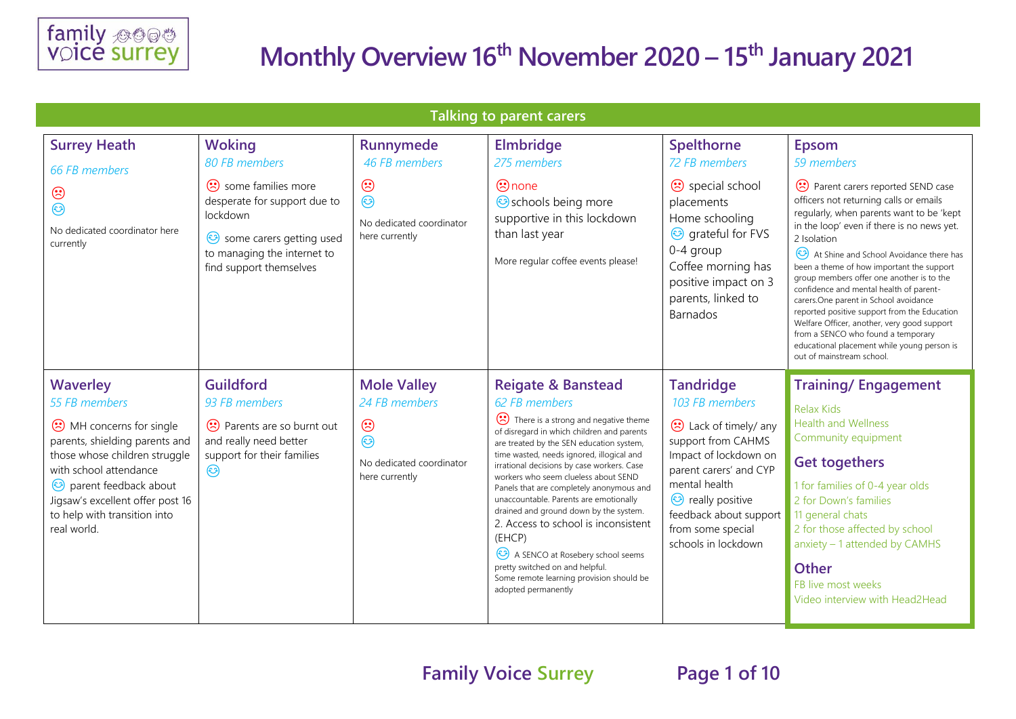

| <b>Talking to parent carers</b>                                                                                                                                                                                                                                     |                                                                                                                                                      |                                                                                                         |                                                                                                                                                                                                                                                                                                                                                                                                                                                                                                                                                                                                                                                |                                                                                                                                                                                                                                                          |                                                                                                                                                                                                                                                                                                                                                                                                                                                                                                                                                                                                                               |  |  |
|---------------------------------------------------------------------------------------------------------------------------------------------------------------------------------------------------------------------------------------------------------------------|------------------------------------------------------------------------------------------------------------------------------------------------------|---------------------------------------------------------------------------------------------------------|------------------------------------------------------------------------------------------------------------------------------------------------------------------------------------------------------------------------------------------------------------------------------------------------------------------------------------------------------------------------------------------------------------------------------------------------------------------------------------------------------------------------------------------------------------------------------------------------------------------------------------------------|----------------------------------------------------------------------------------------------------------------------------------------------------------------------------------------------------------------------------------------------------------|-------------------------------------------------------------------------------------------------------------------------------------------------------------------------------------------------------------------------------------------------------------------------------------------------------------------------------------------------------------------------------------------------------------------------------------------------------------------------------------------------------------------------------------------------------------------------------------------------------------------------------|--|--|
| <b>Surrey Heath</b><br>66 FB members                                                                                                                                                                                                                                | <b>Woking</b><br>80 FB members                                                                                                                       | Runnymede<br>46 FB members                                                                              | <b>Elmbridge</b><br>275 members                                                                                                                                                                                                                                                                                                                                                                                                                                                                                                                                                                                                                | Spelthorne<br>72 FB members                                                                                                                                                                                                                              | <b>Epsom</b><br>59 members                                                                                                                                                                                                                                                                                                                                                                                                                                                                                                                                                                                                    |  |  |
| $\odot$<br>☺<br>No dedicated coordinator here<br>currently                                                                                                                                                                                                          | some families more<br>desperate for support due to<br>lockdown<br>Some carers getting used<br>to managing the internet to<br>find support themselves | $\odot$<br>$\odot$<br>No dedicated coordinator<br>here currently                                        | $\odot$ none<br>Schools being more<br>supportive in this lockdown<br>than last year<br>More regular coffee events please!                                                                                                                                                                                                                                                                                                                                                                                                                                                                                                                      | <b>⊙</b> special school<br>placements<br>Home schooling<br><b>@</b> grateful for FVS<br>0-4 group<br>Coffee morning has<br>positive impact on 3<br>parents, linked to<br><b>Barnados</b>                                                                 | Parent carers reported SEND case<br>officers not returning calls or emails<br>regularly, when parents want to be 'kept<br>in the loop' even if there is no news yet.<br>2 Isolation<br>At Shine and School Avoidance there has<br>been a theme of how important the support<br>group members offer one another is to the<br>confidence and mental health of parent-<br>carers.One parent in School avoidance<br>reported positive support from the Education<br>Welfare Officer, another, very good support<br>from a SENCO who found a temporary<br>educational placement while young person is<br>out of mainstream school. |  |  |
| <b>Waverley</b><br>55 FB members<br>MH concerns for single<br>parents, shielding parents and<br>those whose children struggle<br>with school attendance<br>parent feedback about<br>Jigsaw's excellent offer post 16<br>to help with transition into<br>real world. | <b>Guildford</b><br>93 FB members<br>(*) Parents are so burnt out<br>and really need better<br>support for their families<br>$\odot$                 | <b>Mole Valley</b><br>24 FB members<br>$\odot$<br>$\odot$<br>No dedicated coordinator<br>here currently | <b>Reigate &amp; Banstead</b><br>62 FB members<br>There is a strong and negative theme<br>of disregard in which children and parents<br>are treated by the SEN education system,<br>time wasted, needs ignored, illogical and<br>irrational decisions by case workers. Case<br>workers who seem clueless about SEND<br>Panels that are completely anonymous and<br>unaccountable. Parents are emotionally<br>drained and ground down by the system.<br>2. Access to school is inconsistent<br>(EHCP)<br>A SENCO at Rosebery school seems<br>pretty switched on and helpful.<br>Some remote learning provision should be<br>adopted permanently | <b>Tandridge</b><br>103 FB members<br>Collack of timely/ any<br>support from CAHMS<br>Impact of lockdown on<br>parent carers' and CYP<br>mental health<br><b>B</b> really positive<br>feedback about support<br>from some special<br>schools in lockdown | <b>Training/Engagement</b><br><b>Relax Kids</b><br><b>Health and Wellness</b><br>Community equipment<br><b>Get togethers</b><br>1 for families of 0-4 year olds<br>2 for Down's families<br>11 general chats<br>2 for those affected by school<br>anxiety - 1 attended by CAMHS<br><b>Other</b><br>FB live most weeks<br>Video interview with Head2Head                                                                                                                                                                                                                                                                       |  |  |

**Family Voice Surrey Page 1 of 10**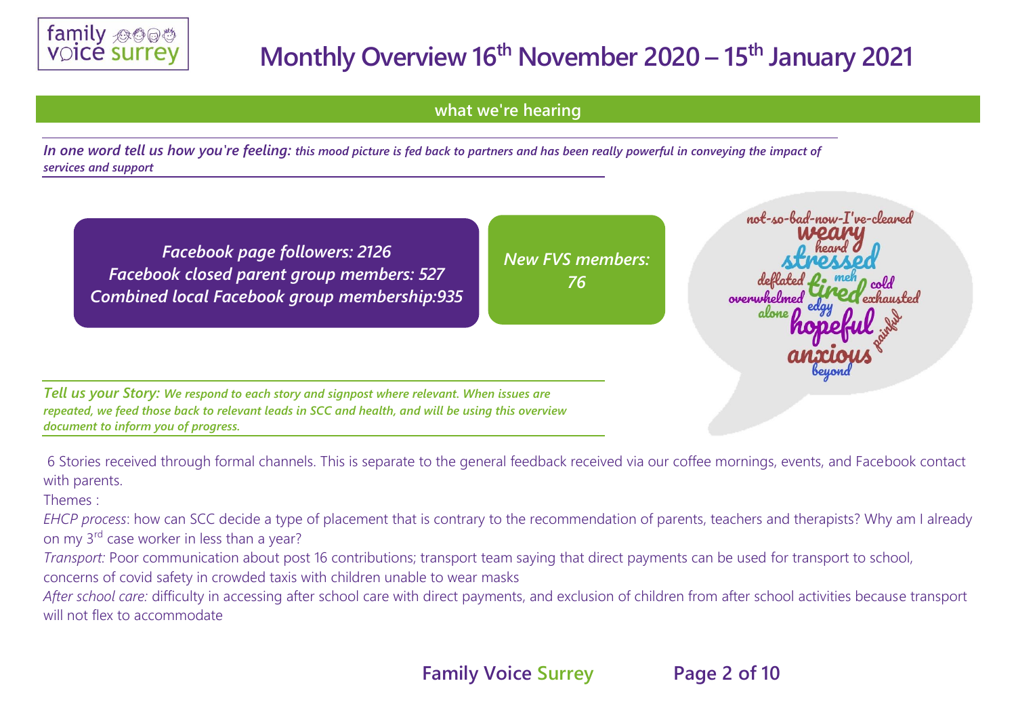

**what we're hearing** 

*In one word tell us how you're feeling: this mood picture is fed back to partners and has been really powerful in conveying the impact of services and support*

*Facebook page followers: 2126 Facebook closed parent group members: 527 Combined local Facebook group membership:935* *New FVS members: 76*

not-so-bad-now-I've-cleaned overwhelmed

*Tell us your Story: We respond to each story and signpost where relevant. When issues are repeated, we feed those back to relevant leads in SCC and health, and will be using this overview document to inform you of progress.*

6 Stories received through formal channels. This is separate to the general feedback received via our coffee mornings, events, and Facebook contact with parents.

Themes :

*EHCP process*: how can SCC decide a type of placement that is contrary to the recommendation of parents, teachers and therapists? Why am I already on my 3rd case worker in less than a year?

*Transport:* Poor communication about post 16 contributions; transport team saying that direct payments can be used for transport to school,

concerns of covid safety in crowded taxis with children unable to wear masks

*After school care:* difficulty in accessing after school care with direct payments, and exclusion of children from after school activities because transport will not flex to accommodate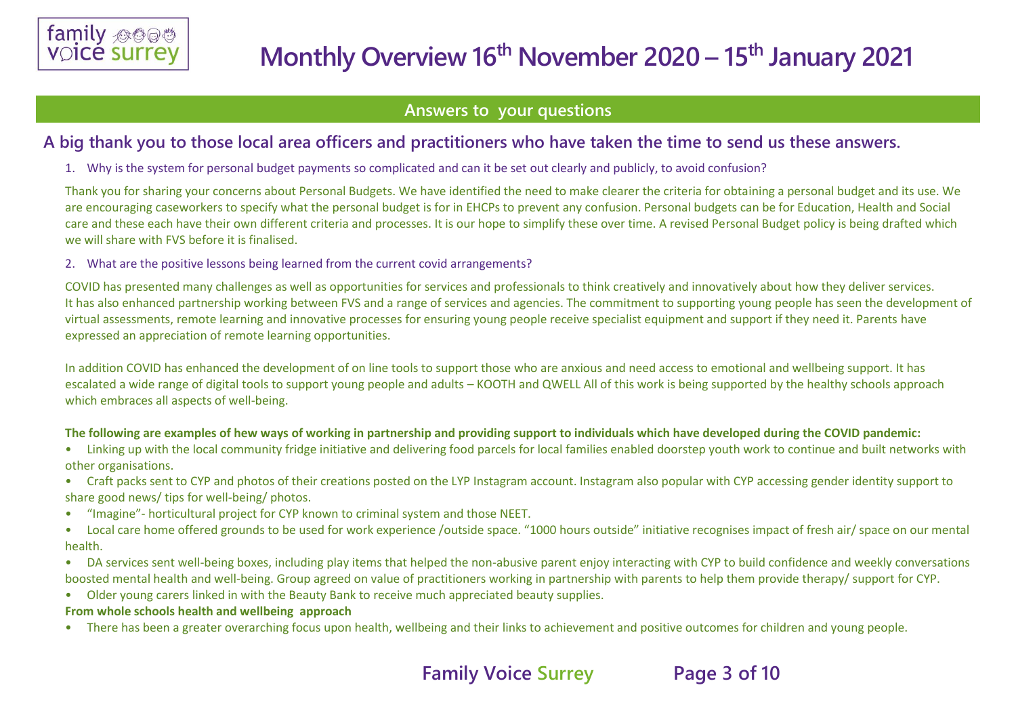

### **Answers to your questions**

### **A big thank you to those local area officers and practitioners who have taken the time to send us these answers.**

1. Why is the system for personal budget payments so complicated and can it be set out clearly and publicly, to avoid confusion?

Thank you for sharing your concerns about Personal Budgets. We have identified the need to make clearer the criteria for obtaining a personal budget and its use. We are encouraging caseworkers to specify what the personal budget is for in EHCPs to prevent any confusion. Personal budgets can be for Education, Health and Social care and these each have their own different criteria and processes. It is our hope to simplify these over time. A revised Personal Budget policy is being drafted which we will share with FVS before it is finalised.

#### 2. What are the positive lessons being learned from the current covid arrangements?

COVID has presented many challenges as well as opportunities for services and professionals to think creatively and innovatively about how they deliver services. It has also enhanced partnership working between FVS and a range of services and agencies. The commitment to supporting young people has seen the development of virtual assessments, remote learning and innovative processes for ensuring young people receive specialist equipment and support if they need it. Parents have expressed an appreciation of remote learning opportunities.

In addition COVID has enhanced the development of on line tools to support those who are anxious and need access to emotional and wellbeing support. It has escalated a wide range of digital tools to support young people and adults – KOOTH and QWELL All of this work is being supported by the healthy schools approach which embraces all aspects of well-being.

#### **The following are examples of hew ways of working in partnership and providing support to individuals which have developed during the COVID pandemic:**

- Linking up with the local community fridge initiative and delivering food parcels for local families enabled doorstep youth work to continue and built networks with other organisations.
- Craft packs sent to CYP and photos of their creations posted on the LYP Instagram account. Instagram also popular with CYP accessing gender identity support to share good news/ tips for well-being/ photos.
- "Imagine"- horticultural project for CYP known to criminal system and those NEET.
- Local care home offered grounds to be used for work experience /outside space. "1000 hours outside" initiative recognises impact of fresh air/ space on our mental health.
- DA services sent well-being boxes, including play items that helped the non-abusive parent enjoy interacting with CYP to build confidence and weekly conversations boosted mental health and well-being. Group agreed on value of practitioners working in partnership with parents to help them provide therapy/ support for CYP.
- Older young carers linked in with the Beauty Bank to receive much appreciated beauty supplies.

#### **From whole schools health and wellbeing approach**

• There has been a greater overarching focus upon health, wellbeing and their links to achievement and positive outcomes for children and young people.

## **Family Voice Surrey Page 3 of 10**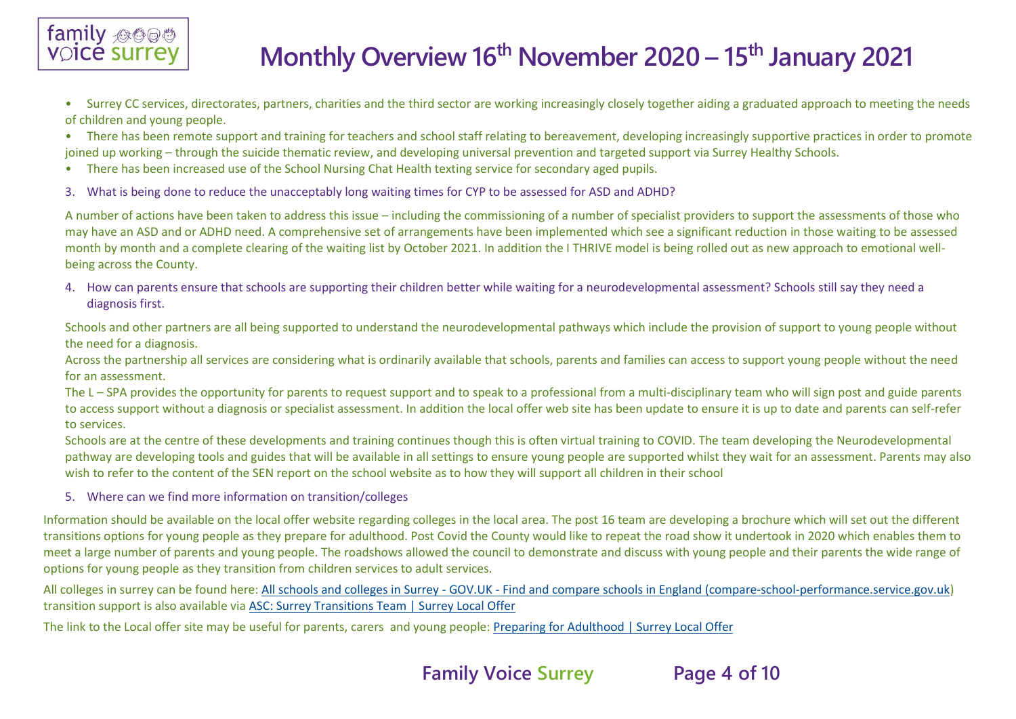

- Surrey CC services, directorates, partners, charities and the third sector are working increasingly closely together aiding a graduated approach to meeting the needs of children and young people.
- There has been remote support and training for teachers and school staff relating to bereavement, developing increasingly supportive practices in order to promote joined up working – through the suicide thematic review, and developing universal prevention and targeted support via Surrey Healthy Schools.
- There has been increased use of the School Nursing Chat Health texting service for secondary aged pupils.
- 3. What is being done to reduce the unacceptably long waiting times for CYP to be assessed for ASD and ADHD?

A number of actions have been taken to address this issue – including the commissioning of a number of specialist providers to support the assessments of those who may have an ASD and or ADHD need. A comprehensive set of arrangements have been implemented which see a significant reduction in those waiting to be assessed month by month and a complete clearing of the waiting list by October 2021. In addition the I THRIVE model is being rolled out as new approach to emotional wellbeing across the County.

4. How can parents ensure that schools are supporting their children better while waiting for a neurodevelopmental assessment? Schools still say they need a diagnosis first.

Schools and other partners are all being supported to understand the neurodevelopmental pathways which include the provision of support to young people without the need for a diagnosis.

Across the partnership all services are considering what is ordinarily available that schools, parents and families can access to support young people without the need for an assessment.

The L – SPA provides the opportunity for parents to request support and to speak to a professional from a multi-disciplinary team who will sign post and guide parents to access support without a diagnosis or specialist assessment. In addition the local offer web site has been update to ensure it is up to date and parents can self-refer to services.

Schools are at the centre of these developments and training continues though this is often virtual training to COVID. The team developing the Neurodevelopmental pathway are developing tools and guides that will be available in all settings to ensure young people are supported whilst they wait for an assessment. Parents may also wish to refer to the content of the SEN report on the school website as to how they will support all children in their school

5. Where can we find more information on transition/colleges

Information should be available on the local offer website regarding colleges in the local area. The post 16 team are developing a brochure which will set out the different transitions options for young people as they prepare for adulthood. Post Covid the County would like to repeat the road show it undertook in 2020 which enables them to meet a large number of parents and young people. The roadshows allowed the council to demonstrate and discuss with young people and their parents the wide range of options for young people as they transition from children services to adult services.

All colleges in surrey can be found here: All schools and colleges in Surrey - GOV.UK - [Find and compare schools in England \(compare-school-performance.service.gov.uk\)](https://www.compare-school-performance.service.gov.uk/schools-by-type?step=default&table=schools®ion=936&la-name=surrey&geographic=la&for=16to18) transition support is also available via [ASC: Surrey Transitions Team | Surrey Local Offer](https://www.surreylocaloffer.org.uk/kb5/surrey/localoffer/service.page?id=Un3BfZUcb18#:~:text=The%20Transition%20Team%20at%20Surrey,at%20when%20they%20turn%2018.)

The link to the Local offer site may be useful for parents, carers and young people[: Preparing for Adulthood | Surrey Local Offer](https://www.surreylocaloffer.org.uk/kb5/surrey/localoffer/advice.page?id=3GuUkA50n04)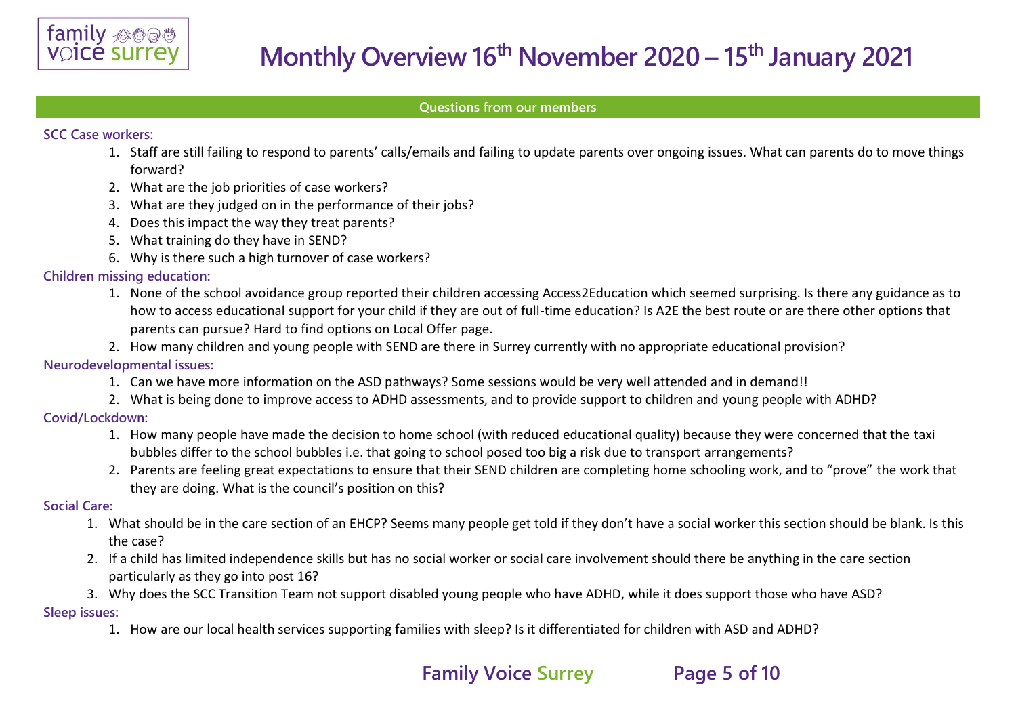

#### **Questions from our members**

#### **SCC Case workers:**

- 1. Staff are still failing to respond to parents' calls/emails and failing to update parents over ongoing issues. What can parents do to move things forward?
- 2. What are the job priorities of case workers?
- 3. What are they judged on in the performance of their jobs?
- 4. Does this impact the way they treat parents?
- 5. What training do they have in SEND?
- 6. Why is there such a high turnover of case workers?

#### **Children missing education:**

- 1. None of the school avoidance group reported their children accessing Access2Education which seemed surprising. Is there any guidance as to how to access educational support for your child if they are out of full-time education? Is A2E the best route or are there other options that parents can pursue? Hard to find options on Local Offer page.
- 2. How many children and young people with SEND are there in Surrey currently with no appropriate educational provision?

#### **Neurodevelopmental issues:**

- 1. Can we have more information on the ASD pathways? Some sessions would be very well attended and in demand!!
- 2. What is being done to improve access to ADHD assessments, and to provide support to children and young people with ADHD?

#### **Covid/Lockdown:**

- 1. How many people have made the decision to home school (with reduced educational quality) because they were concerned that the taxi bubbles differ to the school bubbles i.e. that going to school posed too big a risk due to transport arrangements?
- 2. Parents are feeling great expectations to ensure that their SEND children are completing home schooling work, and to "prove" the work that they are doing. What is the council's position on this?

#### **Social Care:**

- 1. What should be in the care section of an EHCP? Seems many people get told if they don't have a social worker this section should be blank. Is this the case?
- 2. If a child has limited independence skills but has no social worker or social care involvement should there be anything in the care section particularly as they go into post 16?
- 3. Why does the SCC Transition Team not support disabled young people who have ADHD, while it does support those who have ASD?

#### **Sleep issues:**

1. How are our local health services supporting families with sleep? Is it differentiated for children with ASD and ADHD?

## **Family Voice Surrey Page 5 of 10**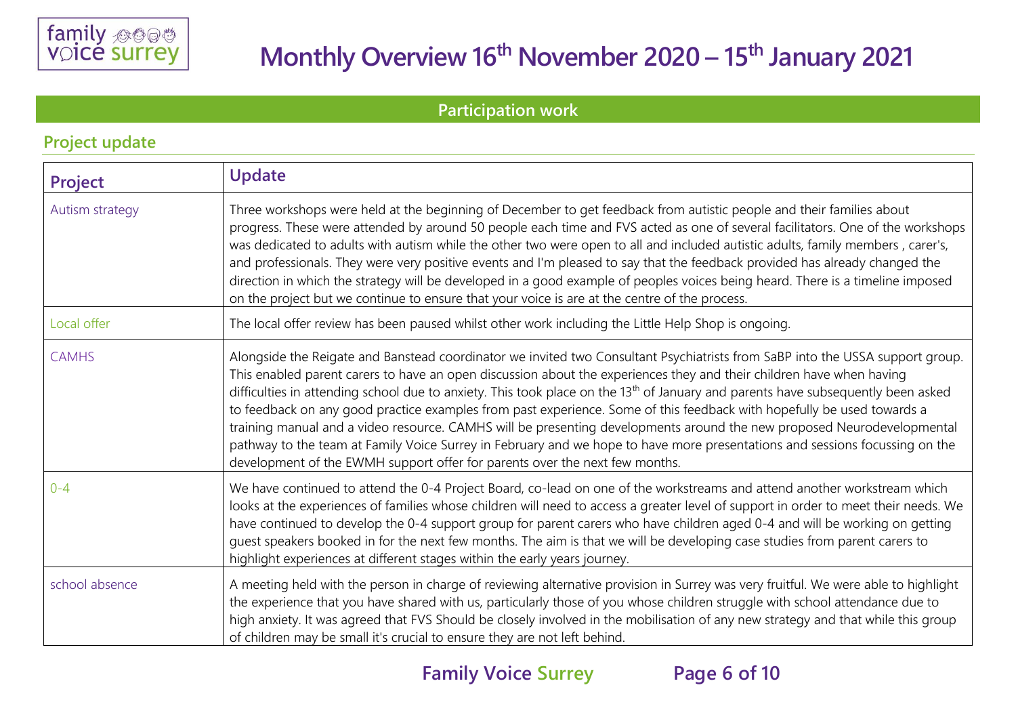

**Project update** 

# **Monthly Overview 16 th November 2020 – 15th January 2021**

**Participation work** 

| <b>TIPLE UPULL</b> |                                                                                                                                                                                                                                                                                                                                                                                                                                                                                                                                                                                                                                                                                                                                                                                                                                                                         |  |  |  |
|--------------------|-------------------------------------------------------------------------------------------------------------------------------------------------------------------------------------------------------------------------------------------------------------------------------------------------------------------------------------------------------------------------------------------------------------------------------------------------------------------------------------------------------------------------------------------------------------------------------------------------------------------------------------------------------------------------------------------------------------------------------------------------------------------------------------------------------------------------------------------------------------------------|--|--|--|
| Project            | <b>Update</b>                                                                                                                                                                                                                                                                                                                                                                                                                                                                                                                                                                                                                                                                                                                                                                                                                                                           |  |  |  |
| Autism strategy    | Three workshops were held at the beginning of December to get feedback from autistic people and their families about<br>progress. These were attended by around 50 people each time and FVS acted as one of several facilitators. One of the workshops<br>was dedicated to adults with autism while the other two were open to all and included autistic adults, family members, carer's,<br>and professionals. They were very positive events and I'm pleased to say that the feedback provided has already changed the<br>direction in which the strategy will be developed in a good example of peoples voices being heard. There is a timeline imposed<br>on the project but we continue to ensure that your voice is are at the centre of the process.                                                                                                             |  |  |  |
| Local offer        | The local offer review has been paused whilst other work including the Little Help Shop is ongoing.                                                                                                                                                                                                                                                                                                                                                                                                                                                                                                                                                                                                                                                                                                                                                                     |  |  |  |
| <b>CAMHS</b>       | Alongside the Reigate and Banstead coordinator we invited two Consultant Psychiatrists from SaBP into the USSA support group.<br>This enabled parent carers to have an open discussion about the experiences they and their children have when having<br>difficulties in attending school due to anxiety. This took place on the 13 <sup>th</sup> of January and parents have subsequently been asked<br>to feedback on any good practice examples from past experience. Some of this feedback with hopefully be used towards a<br>training manual and a video resource. CAMHS will be presenting developments around the new proposed Neurodevelopmental<br>pathway to the team at Family Voice Surrey in February and we hope to have more presentations and sessions focussing on the<br>development of the EWMH support offer for parents over the next few months. |  |  |  |
| $0 - 4$            | We have continued to attend the 0-4 Project Board, co-lead on one of the workstreams and attend another workstream which<br>looks at the experiences of families whose children will need to access a greater level of support in order to meet their needs. We<br>have continued to develop the 0-4 support group for parent carers who have children aged 0-4 and will be working on getting<br>guest speakers booked in for the next few months. The aim is that we will be developing case studies from parent carers to<br>highlight experiences at different stages within the early years journey.                                                                                                                                                                                                                                                               |  |  |  |
| school absence     | A meeting held with the person in charge of reviewing alternative provision in Surrey was very fruitful. We were able to highlight<br>the experience that you have shared with us, particularly those of you whose children struggle with school attendance due to<br>high anxiety. It was agreed that FVS Should be closely involved in the mobilisation of any new strategy and that while this group<br>of children may be small it's crucial to ensure they are not left behind.                                                                                                                                                                                                                                                                                                                                                                                    |  |  |  |

## **Family Voice Surrey Page 6 of 10**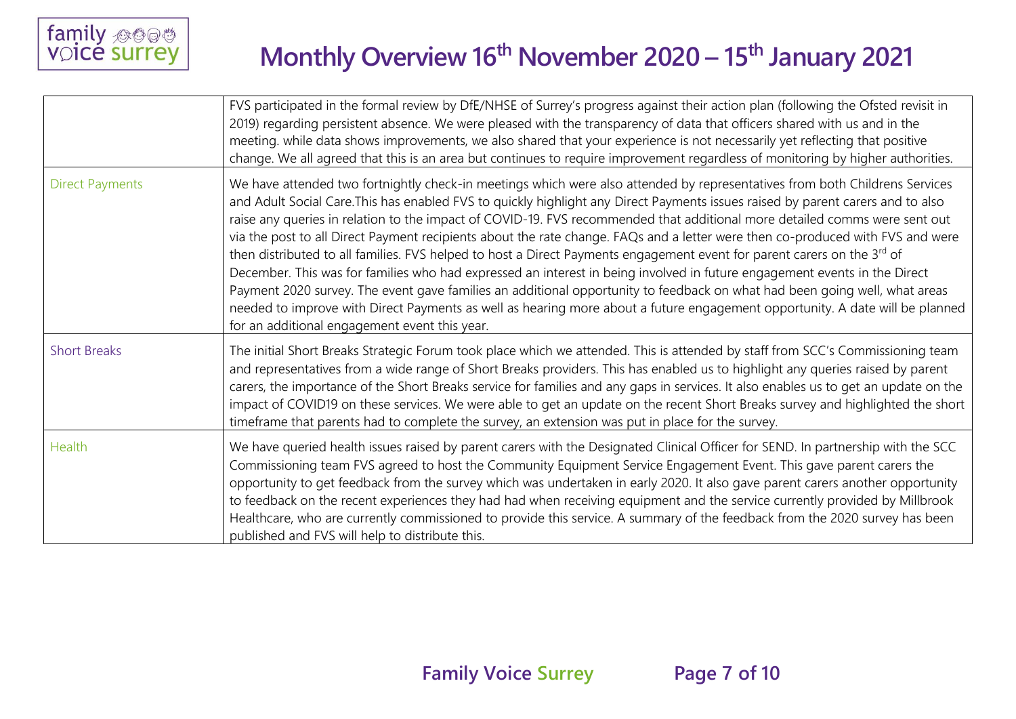

|                        | FVS participated in the formal review by DfE/NHSE of Surrey's progress against their action plan (following the Ofsted revisit in<br>2019) regarding persistent absence. We were pleased with the transparency of data that officers shared with us and in the<br>meeting. while data shows improvements, we also shared that your experience is not necessarily yet reflecting that positive<br>change. We all agreed that this is an area but continues to require improvement regardless of monitoring by higher authorities.                                                                                                                                                                                                                                                                                                                                                                                                                                                                                                                                                                                  |
|------------------------|-------------------------------------------------------------------------------------------------------------------------------------------------------------------------------------------------------------------------------------------------------------------------------------------------------------------------------------------------------------------------------------------------------------------------------------------------------------------------------------------------------------------------------------------------------------------------------------------------------------------------------------------------------------------------------------------------------------------------------------------------------------------------------------------------------------------------------------------------------------------------------------------------------------------------------------------------------------------------------------------------------------------------------------------------------------------------------------------------------------------|
| <b>Direct Payments</b> | We have attended two fortnightly check-in meetings which were also attended by representatives from both Childrens Services<br>and Adult Social Care. This has enabled FVS to quickly highlight any Direct Payments issues raised by parent carers and to also<br>raise any queries in relation to the impact of COVID-19. FVS recommended that additional more detailed comms were sent out<br>via the post to all Direct Payment recipients about the rate change. FAQs and a letter were then co-produced with FVS and were<br>then distributed to all families. FVS helped to host a Direct Payments engagement event for parent carers on the 3 <sup>rd</sup> of<br>December. This was for families who had expressed an interest in being involved in future engagement events in the Direct<br>Payment 2020 survey. The event gave families an additional opportunity to feedback on what had been going well, what areas<br>needed to improve with Direct Payments as well as hearing more about a future engagement opportunity. A date will be planned<br>for an additional engagement event this year. |
| <b>Short Breaks</b>    | The initial Short Breaks Strategic Forum took place which we attended. This is attended by staff from SCC's Commissioning team<br>and representatives from a wide range of Short Breaks providers. This has enabled us to highlight any queries raised by parent<br>carers, the importance of the Short Breaks service for families and any gaps in services. It also enables us to get an update on the<br>impact of COVID19 on these services. We were able to get an update on the recent Short Breaks survey and highlighted the short<br>timeframe that parents had to complete the survey, an extension was put in place for the survey.                                                                                                                                                                                                                                                                                                                                                                                                                                                                    |
| <b>Health</b>          | We have queried health issues raised by parent carers with the Designated Clinical Officer for SEND. In partnership with the SCC<br>Commissioning team FVS agreed to host the Community Equipment Service Engagement Event. This gave parent carers the<br>opportunity to get feedback from the survey which was undertaken in early 2020. It also gave parent carers another opportunity<br>to feedback on the recent experiences they had had when receiving equipment and the service currently provided by Millbrook<br>Healthcare, who are currently commissioned to provide this service. A summary of the feedback from the 2020 survey has been<br>published and FVS will help to distribute this.                                                                                                                                                                                                                                                                                                                                                                                                        |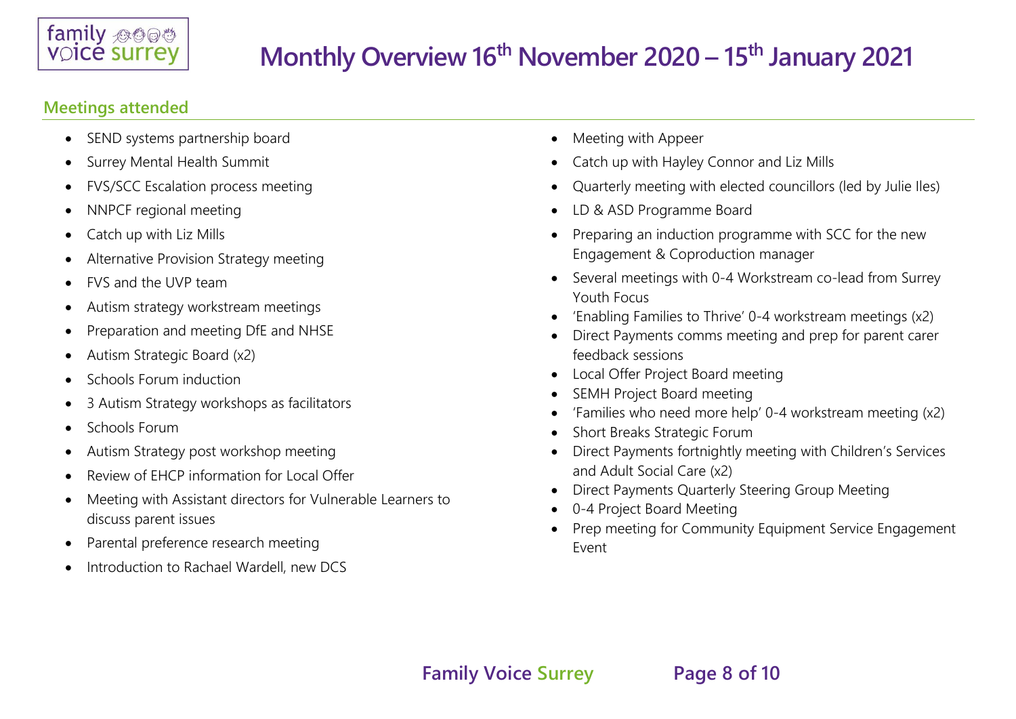

### **Meetings attended**

- SEND systems partnership board
- Surrey Mental Health Summit
- FVS/SCC Escalation process meeting
- NNPCF regional meeting
- Catch up with Liz Mills
- Alternative Provision Strategy meeting
- FVS and the UVP team
- Autism strategy workstream meetings
- Preparation and meeting DfE and NHSE
- Autism Strategic Board (x2)
- Schools Forum induction
- 3 Autism Strategy workshops as facilitators
- Schools Forum
- Autism Strategy post workshop meeting
- Review of EHCP information for Local Offer
- Meeting with Assistant directors for Vulnerable Learners to discuss parent issues
- Parental preference research meeting
- Introduction to Rachael Wardell, new DCS
- Meeting with Appeer
- Catch up with Hayley Connor and Liz Mills
- Quarterly meeting with elected councillors (led by Julie Iles)
- LD & ASD Programme Board
- Preparing an induction programme with SCC for the new Engagement & Coproduction manager
- Several meetings with 0-4 Workstream co-lead from Surrey Youth Focus
- 'Enabling Families to Thrive' 0-4 workstream meetings (x2)
- Direct Payments comms meeting and prep for parent carer feedback sessions
- Local Offer Project Board meeting
- SEMH Project Board meeting
- 'Families who need more help' 0-4 workstream meeting (x2)
- Short Breaks Strategic Forum
- Direct Payments fortnightly meeting with Children's Services and Adult Social Care (x2)
- Direct Payments Quarterly Steering Group Meeting
- 0-4 Project Board Meeting
- Prep meeting for Community Equipment Service Engagement Event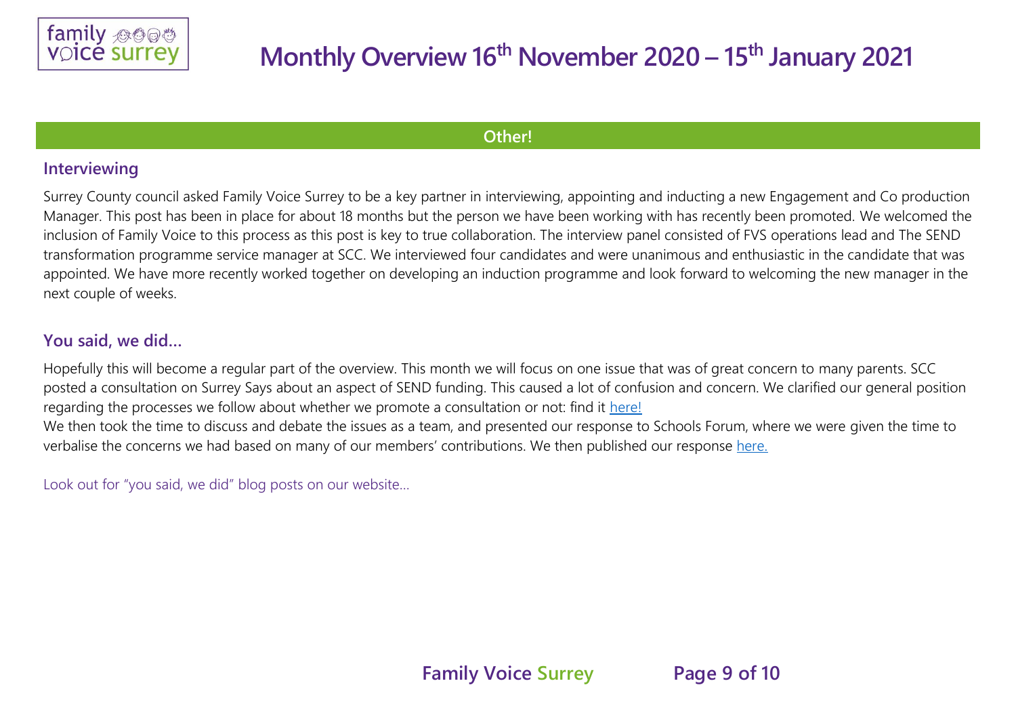

### **Other!**

### **Interviewing**

Surrey County council asked Family Voice Surrey to be a key partner in interviewing, appointing and inducting a new Engagement and Co production Manager. This post has been in place for about 18 months but the person we have been working with has recently been promoted. We welcomed the inclusion of Family Voice to this process as this post is key to true collaboration. The interview panel consisted of FVS operations lead and The SEND transformation programme service manager at SCC. We interviewed four candidates and were unanimous and enthusiastic in the candidate that was appointed. We have more recently worked together on developing an induction programme and look forward to welcoming the new manager in the next couple of weeks.

### **You said, we did…**

Hopefully this will become a regular part of the overview. This month we will focus on one issue that was of great concern to many parents. SCC posted a consultation on Surrey Says about an aspect of SEND funding. This caused a lot of confusion and concern. We clarified our general position regarding the processes we follow about whether we promote a consultation or not: find it [here!](https://www.familyvoicesurrey.org/single-post/consultations) We then took the time to discuss and debate the issues as a team, and presented our response to Schools Forum, where we were given the time to

verbalise the concerns we had based on many of our members' contributions. We then published our response [here.](https://www.familyvoicesurrey.org/single-post/fvs-s-response-to-the-additional-needs-funding-consultation)

Look out for "you said, we did" blog posts on our website…

**Family Voice Surrey Page 9 of 10**